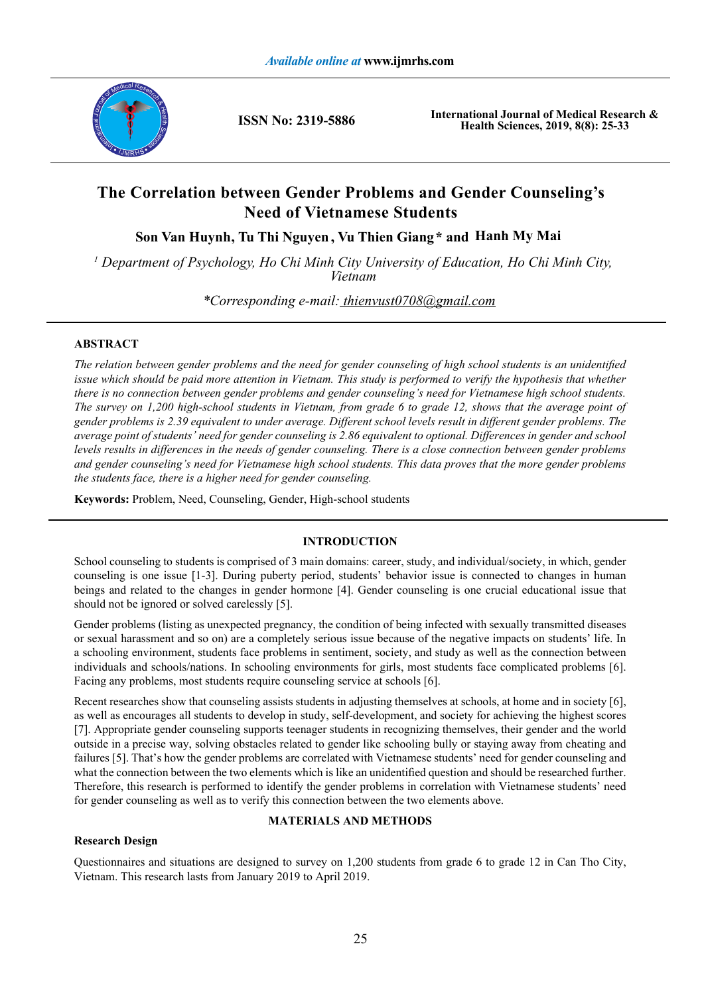

**ISSN No: 2319-5886**

**International Journal of Medical Research & Health Sciences, 2019, 8(8): 25-33**

# **The Correlation between Gender Problems and Gender Counseling's Need of Vietnamese Students**

**Son Van Huynh , Tu Thi Nguyen , Vu Thien Giang \* and Hanh My Mai**

<sup>1</sup> Department of Psychology, Ho Chi Minh City University of Education, Ho Chi Minh City, *Vietnam*

*\*Corresponding e-mail: thienvust0708@gmail.com*

# **ABSTRACT**

*The relation between gender problems and the need for gender counseling of high school students is an unidentified issue which should be paid more attention in Vietnam. This study is performed to verify the hypothesis that whether there is no connection between gender problems and gender counseling's need for Vietnamese high school students. The survey on 1,200 high-school students in Vietnam, from grade 6 to grade 12, shows that the average point of gender problems is 2.39 equivalent to under average. Different school levels result in different gender problems. The average point of students' need for gender counseling is 2.86 equivalent to optional. Differences in gender and school levels results in differences in the needs of gender counseling. There is a close connection between gender problems and gender counseling's need for Vietnamese high school students. This data proves that the more gender problems the students face, there is a higher need for gender counseling.*

**Keywords:** Problem, Need, Counseling, Gender, High-school students

# **INTRODUCTION**

School counseling to students is comprised of 3 main domains: career, study, and individual/society, in which, gender counseling is one issue [1-3]. During puberty period, students' behavior issue is connected to changes in human beings and related to the changes in gender hormone [4]. Gender counseling is one crucial educational issue that should not be ignored or solved carelessly [5].

Gender problems (listing as unexpected pregnancy, the condition of being infected with sexually transmitted diseases or sexual harassment and so on) are a completely serious issue because of the negative impacts on students' life. In a schooling environment, students face problems in sentiment, society, and study as well as the connection between individuals and schools/nations. In schooling environments for girls, most students face complicated problems [6]. Facing any problems, most students require counseling service at schools [6].

Recent researches show that counseling assists students in adjusting themselves at schools, at home and in society [6], as well as encourages all students to develop in study, self-development, and society for achieving the highest scores [7]. Appropriate gender counseling supports teenager students in recognizing themselves, their gender and the world outside in a precise way, solving obstacles related to gender like schooling bully or staying away from cheating and failures [5]. That's how the gender problems are correlated with Vietnamese students' need for gender counseling and what the connection between the two elements which is like an unidentified question and should be researched further. Therefore, this research is performed to identify the gender problems in correlation with Vietnamese students' need for gender counseling as well as to verify this connection between the two elements above.

# **MATERIALS AND METHODS**

# **Research Design**

Questionnaires and situations are designed to survey on 1,200 students from grade 6 to grade 12 in Can Tho City, Vietnam. This research lasts from January 2019 to April 2019.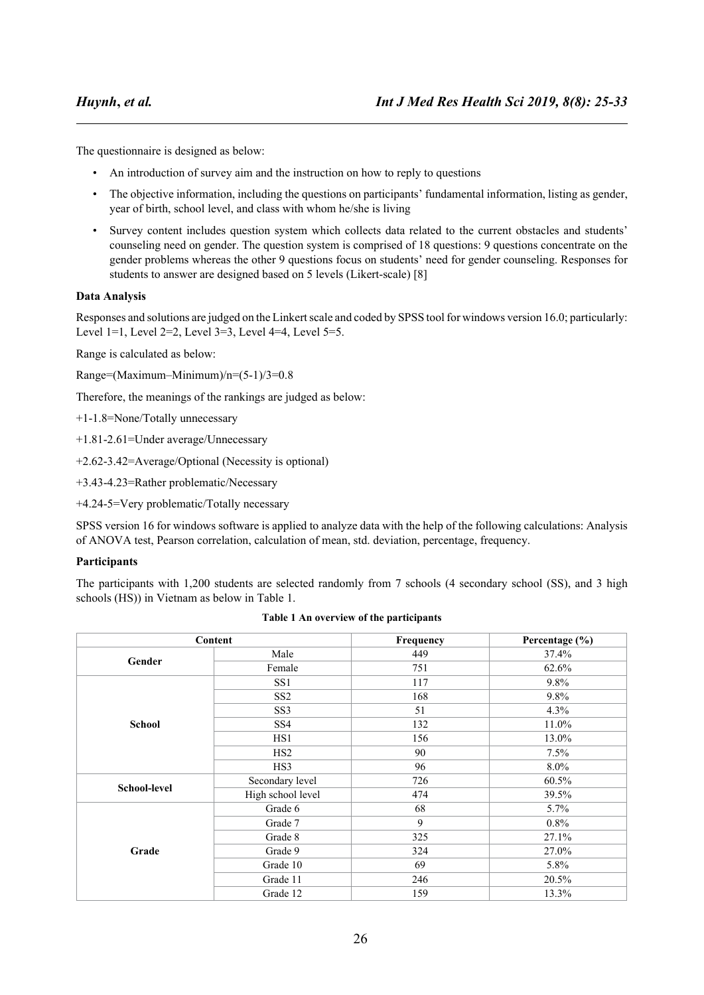The questionnaire is designed as below:

- An introduction of survey aim and the instruction on how to reply to questions
- The objective information, including the questions on participants' fundamental information, listing as gender, year of birth, school level, and class with whom he/she is living
- Survey content includes question system which collects data related to the current obstacles and students' counseling need on gender. The question system is comprised of 18 questions: 9 questions concentrate on the gender problems whereas the other 9 questions focus on students' need for gender counseling. Responses for students to answer are designed based on 5 levels (Likert-scale) [8]

# **Data Analysis**

Responses and solutions are judged on the Linkert scale and coded by SPSS tool for windows version 16.0; particularly: Level 1=1, Level 2=2, Level 3=3, Level 4=4, Level 5=5.

Range is calculated as below:

Range=(Maximum–Minimum)/n=(5-1)/3=0.8

Therefore, the meanings of the rankings are judged as below:

+1-1.8=None/Totally unnecessary

+1.81-2.61=Under average/Unnecessary

+2.62-3.42=Average/Optional (Necessity is optional)

+3.43-4.23=Rather problematic/Necessary

+4.24-5=Very problematic/Totally necessary

SPSS version 16 for windows software is applied to analyze data with the help of the following calculations: Analysis of ANOVA test, Pearson correlation, calculation of mean, std. deviation, percentage, frequency.

## **Participants**

The participants with 1,200 students are selected randomly from 7 schools (4 secondary school (SS), and 3 high schools (HS)) in Vietnam as below in Table 1.

|                     | Content           | Frequency                                                                                             | Percentage (%) |  |
|---------------------|-------------------|-------------------------------------------------------------------------------------------------------|----------------|--|
| Gender              | Male              | 449                                                                                                   | 37.4%          |  |
|                     | Female            | 751<br>117<br>168<br>51<br>132<br>156<br>90<br>96<br>726<br>474<br>68<br>9<br>325<br>324<br>69<br>246 | 62.6%          |  |
|                     | SS1               |                                                                                                       | 9.8%           |  |
|                     | SS <sub>2</sub>   |                                                                                                       | 9.8%           |  |
|                     | SS <sub>3</sub>   |                                                                                                       | 4.3%           |  |
| <b>School</b>       | SS <sub>4</sub>   |                                                                                                       | 11.0%          |  |
|                     | HS1               |                                                                                                       | 13.0%          |  |
|                     | HS <sub>2</sub>   |                                                                                                       | 7.5%           |  |
|                     | HS3               |                                                                                                       | $8.0\%$        |  |
| <b>School-level</b> | Secondary level   |                                                                                                       | 60.5%          |  |
|                     | High school level |                                                                                                       | 39.5%          |  |
|                     | Grade 6           |                                                                                                       | 5.7%           |  |
|                     | Grade 7           |                                                                                                       | 0.8%           |  |
|                     | Grade 8           |                                                                                                       | 27.1%          |  |
| Grade               | Grade 9           |                                                                                                       | 27.0%          |  |
|                     | Grade 10          |                                                                                                       | 5.8%           |  |
|                     | Grade 11          | 159                                                                                                   | 20.5%          |  |
|                     | Grade 12          |                                                                                                       | 13.3%          |  |

**Table 1 An overview of the participants**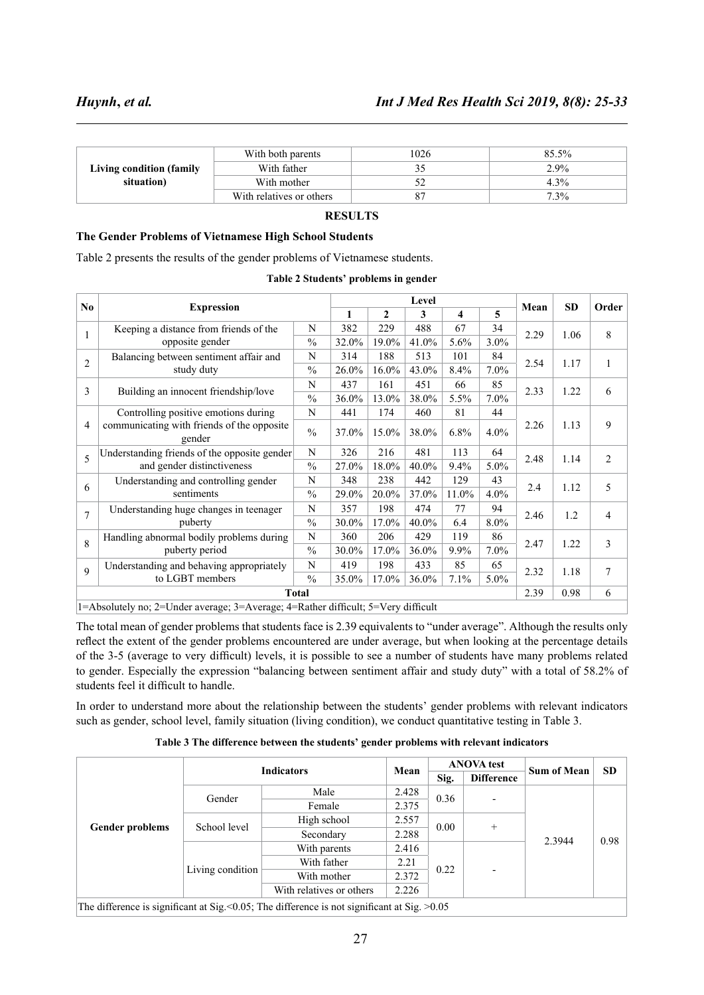|                          | With both parents        | 1026 | $85.5\%$ |
|--------------------------|--------------------------|------|----------|
| Living condition (family | With father              |      | 2.9%     |
| situation)               | With mother              | ے ر  | 4.3%     |
|                          | With relatives or others | 8′   | $7.3\%$  |

# **RESULTS**

#### **The Gender Problems of Vietnamese High School Students**

Table 2 presents the results of the gender problems of Vietnamese students.

| Table 2 Students' problems in gender |  |  |
|--------------------------------------|--|--|
|--------------------------------------|--|--|

|                |                                                                                   | Level         |       |       |       |         |         | <b>SD</b> |      |                |
|----------------|-----------------------------------------------------------------------------------|---------------|-------|-------|-------|---------|---------|-----------|------|----------------|
| N <sub>0</sub> | <b>Expression</b>                                                                 |               | 1     | 2     | 3     | 4       | 5       | Mean      |      | Order          |
| 1              | Keeping a distance from friends of the                                            | N             | 382   | 229   | 488   | 67      | 34      | 2.29      | 1.06 | 8              |
|                | opposite gender                                                                   | $\frac{0}{0}$ | 32.0% | 19.0% | 41.0% | 5.6%    | $3.0\%$ |           |      |                |
| $\overline{2}$ | Balancing between sentiment affair and                                            | N             | 314   | 188   | 513   | 101     | 84      | 2.54      | 1.17 |                |
|                | study duty                                                                        | $\frac{0}{0}$ | 26.0% | 16.0% | 43.0% | 8.4%    | $7.0\%$ |           |      | 1              |
| 3              |                                                                                   | N             | 437   | 161   | 451   | 66      | 85      | 2.33      | 1.22 | 6              |
|                | Building an innocent friendship/love                                              | $\frac{0}{0}$ | 36.0% | 13.0% | 38.0% | 5.5%    | $7.0\%$ |           |      |                |
|                | Controlling positive emotions during                                              | N             | 441   | 174   | 460   | 81      | 44      |           |      |                |
| 4              | communicating with friends of the opposite<br>gender                              | $\frac{0}{0}$ | 37.0% | 15.0% | 38.0% | 6.8%    | 4.0%    | 2.26      | 1.13 | 9              |
| 5              | Understanding friends of the opposite gender                                      | N             | 326   | 216   | 481   | 113     | 64      | 2.48      | 1.14 | $\overline{2}$ |
|                | and gender distinctiveness                                                        | $\frac{0}{0}$ | 27.0% | 18.0% | 40.0% | 9.4%    | 5.0%    |           |      |                |
| 6              | Understanding and controlling gender                                              | N             | 348   | 238   | 442   | 129     | 43      | 2.4       | 1.12 | 5              |
|                | sentiments                                                                        | $\frac{0}{0}$ | 29.0% | 20.0% | 37.0% | 11.0%   | $4.0\%$ |           |      |                |
| $\overline{7}$ | Understanding huge changes in teenager                                            | N             | 357   | 198   | 474   | 77      | 94      | 2.46      | 1.2  | 4              |
|                | puberty                                                                           | $\frac{0}{0}$ | 30.0% | 17.0% | 40.0% | 6.4     | 8.0%    |           |      |                |
| $\mathbf{8}$   | Handling abnormal bodily problems during                                          | N             | 360   | 206   | 429   | 119     | 86      | 2.47      | 1.22 | 3              |
|                | puberty period                                                                    | $\frac{0}{0}$ | 30.0% | 17.0% | 36.0% | $9.9\%$ | $7.0\%$ |           |      |                |
| 9              | Understanding and behaving appropriately                                          | N             | 419   | 198   | 433   | 85      | 65      | 2.32      | 1.18 | 7              |
|                | to LGBT members                                                                   | $\frac{0}{0}$ | 35.0% | 17.0% | 36.0% | 7.1%    | $5.0\%$ |           |      |                |
| <b>Total</b>   |                                                                                   |               |       |       |       |         |         | 2.39      | 0.98 | 6              |
|                | 1=Absolutely no; 2=Under average; 3=Average; 4=Rather difficult; 5=Very difficult |               |       |       |       |         |         |           |      |                |

The total mean of gender problems that students face is 2.39 equivalents to "under average". Although the results only reflect the extent of the gender problems encountered are under average, but when looking at the percentage details of the 3-5 (average to very difficult) levels, it is possible to see a number of students have many problems related to gender. Especially the expression "balancing between sentiment affair and study duty" with a total of 58.2% of students feel it difficult to handle.

In order to understand more about the relationship between the students' gender problems with relevant indicators such as gender, school level, family situation (living condition), we conduct quantitative testing in Table 3.

**Table 3 The difference between the students' gender problems with relevant indicators**

|                                                                                                | <b>Indicators</b> |                          | Mean  | <b>ANOVA</b> test |                          | <b>Sum of Mean</b> | <b>SD</b> |  |
|------------------------------------------------------------------------------------------------|-------------------|--------------------------|-------|-------------------|--------------------------|--------------------|-----------|--|
|                                                                                                |                   |                          | Sig.  | <b>Difference</b> |                          |                    |           |  |
| <b>Gender problems</b>                                                                         | Gender            | Male                     | 2.428 | 0.36              | $\overline{\phantom{a}}$ | 2.3944             | 0.98      |  |
|                                                                                                |                   | Female                   | 2.375 |                   |                          |                    |           |  |
|                                                                                                | School level      | High school              | 2.557 | 0.00              | $+$                      |                    |           |  |
|                                                                                                |                   | Secondary                | 2.288 |                   |                          |                    |           |  |
|                                                                                                | Living condition  | With parents             | 2.416 |                   | $\overline{\phantom{0}}$ |                    |           |  |
|                                                                                                |                   | With father              | 2.21  | 0.22              |                          |                    |           |  |
|                                                                                                |                   | With mother              | 2.372 |                   |                          |                    |           |  |
|                                                                                                |                   | With relatives or others | 2.226 |                   |                          |                    |           |  |
| The difference is significant at Sig. < 0.05; The difference is not significant at Sig. > 0.05 |                   |                          |       |                   |                          |                    |           |  |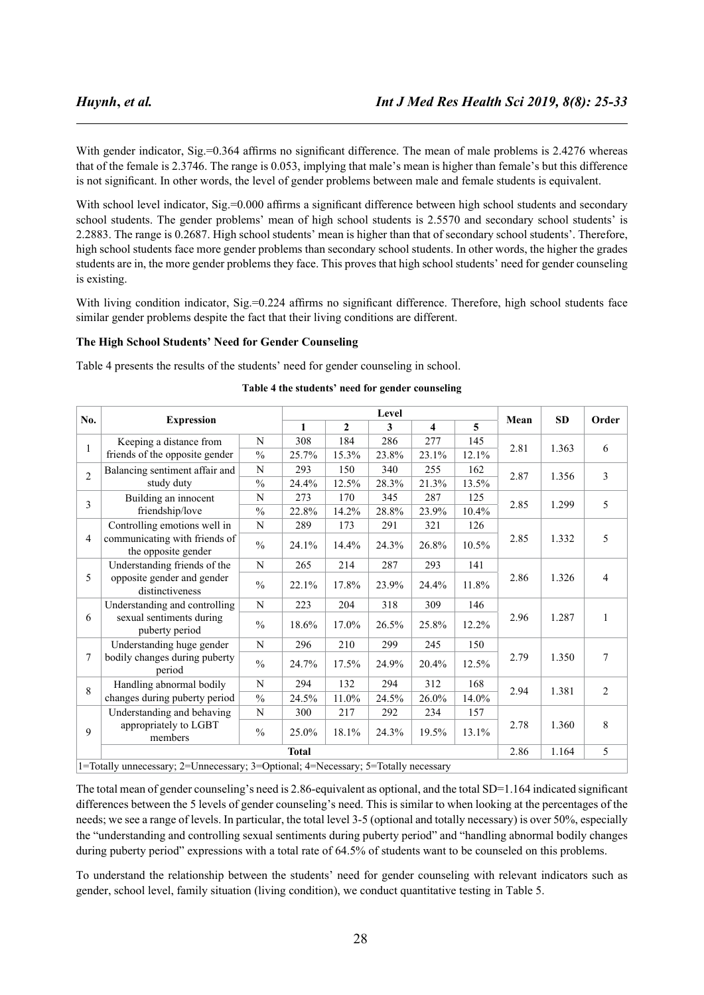With gender indicator, Sig.=0.364 affirms no significant difference. The mean of male problems is 2.4276 whereas that of the female is 2.3746. The range is 0.053, implying that male's mean is higher than female's but this difference is not significant. In other words, the level of gender problems between male and female students is equivalent.

With school level indicator, Sig.=0.000 affirms a significant difference between high school students and secondary school students. The gender problems' mean of high school students is 2.5570 and secondary school students' is 2.2883. The range is 0.2687. High school students' mean is higher than that of secondary school students'. Therefore, high school students face more gender problems than secondary school students. In other words, the higher the grades students are in, the more gender problems they face. This proves that high school students' need for gender counseling is existing.

With living condition indicator, Sig.=0.224 affirms no significant difference. Therefore, high school students face similar gender problems despite the fact that their living conditions are different.

#### **The High School Students' Need for Gender Counseling**

Table 4 presents the results of the students' need for gender counseling in school.

|                |                                                                                    |               |              | Level        |       |       |       |      |       |                  |
|----------------|------------------------------------------------------------------------------------|---------------|--------------|--------------|-------|-------|-------|------|-------|------------------|
| No.            | <b>Expression</b>                                                                  |               | $\mathbf{1}$ | $\mathbf{2}$ | 3     | 4     | 5     | Mean | SD    | Order            |
| 1              | Keeping a distance from                                                            | N             | 308          | 184          | 286   | 277   | 145   | 2.81 | 1.363 | 6                |
|                | friends of the opposite gender                                                     | $\frac{0}{0}$ | 25.7%        | 15.3%        | 23.8% | 23.1% | 12.1% |      |       |                  |
| $\overline{2}$ | Balancing sentiment affair and                                                     | N             | 293          | 150          | 340   | 255   | 162   | 2.87 | 1.356 | $\overline{3}$   |
|                | study duty                                                                         | $\frac{0}{0}$ | 24.4%        | 12.5%        | 28.3% | 21.3% | 13.5% |      |       |                  |
| 3              | Building an innocent                                                               | N             | 273          | 170          | 345   | 287   | 125   | 2.85 | 1.299 | 5                |
|                | friendship/love                                                                    | $\frac{0}{0}$ | 22.8%        | 14.2%        | 28.8% | 23.9% | 10.4% |      |       |                  |
|                | Controlling emotions well in                                                       | $\mathbf N$   | 289          | 173          | 291   | 321   | 126   |      | 1.332 | 5                |
| 4              | communicating with friends of<br>the opposite gender                               | $\frac{0}{0}$ | 24.1%        | 14.4%        | 24.3% | 26.8% | 10.5% | 2.85 |       |                  |
|                | Understanding friends of the                                                       | N             | 265          | 214          | 287   | 293   | 141   | 2.86 | 1.326 | $\overline{4}$   |
| 5              | opposite gender and gender<br>distinctiveness                                      | $\frac{0}{0}$ | 22.1%        | 17.8%        | 23.9% | 24.4% | 11.8% |      |       |                  |
|                | Understanding and controlling                                                      | N             | 223          | 204          | 318   | 309   | 146   | 2.96 | 1.287 | 1                |
| 6              | sexual sentiments during<br>puberty period                                         | $\frac{0}{0}$ | 18.6%        | 17.0%        | 26.5% | 25.8% | 12.2% |      |       |                  |
|                | Understanding huge gender                                                          | N             | 296          | 210          | 299   | 245   | 150   |      |       |                  |
| 7              | bodily changes during puberty<br>period                                            | $\frac{0}{0}$ | 24.7%        | 17.5%        | 24.9% | 20.4% | 12.5% | 2.79 | 1.350 | $\boldsymbol{7}$ |
| 8              | Handling abnormal bodily                                                           | N             | 294          | 132          | 294   | 312   | 168   | 2.94 | 1.381 | $\overline{2}$   |
|                | changes during puberty period                                                      | $\frac{0}{0}$ | 24.5%        | 11.0%        | 24.5% | 26.0% | 14.0% |      |       |                  |
|                | Understanding and behaving                                                         | N             | 300          | 217          | 292   | 234   | 157   |      |       |                  |
| 9<br>members   | appropriately to LGBT                                                              | $\frac{0}{0}$ | 25.0%        | 18.1%        | 24.3% | 19.5% | 13.1% | 2.78 | 1.360 | $\,8\,$          |
|                | <b>Total</b>                                                                       |               |              |              |       |       |       | 2.86 | 1.164 | 5                |
|                | 1=Totally unnecessary; 2=Unnecessary; 3=Optional; 4=Necessary; 5=Totally necessary |               |              |              |       |       |       |      |       |                  |

#### **Table 4 the students' need for gender counseling**

The total mean of gender counseling's need is 2.86-equivalent as optional, and the total SD=1.164 indicated significant differences between the 5 levels of gender counseling's need. This is similar to when looking at the percentages of the needs; we see a range of levels. In particular, the total level 3-5 (optional and totally necessary) is over 50%, especially the "understanding and controlling sexual sentiments during puberty period" and "handling abnormal bodily changes during puberty period" expressions with a total rate of 64.5% of students want to be counseled on this problems.

To understand the relationship between the students' need for gender counseling with relevant indicators such as gender, school level, family situation (living condition), we conduct quantitative testing in Table 5.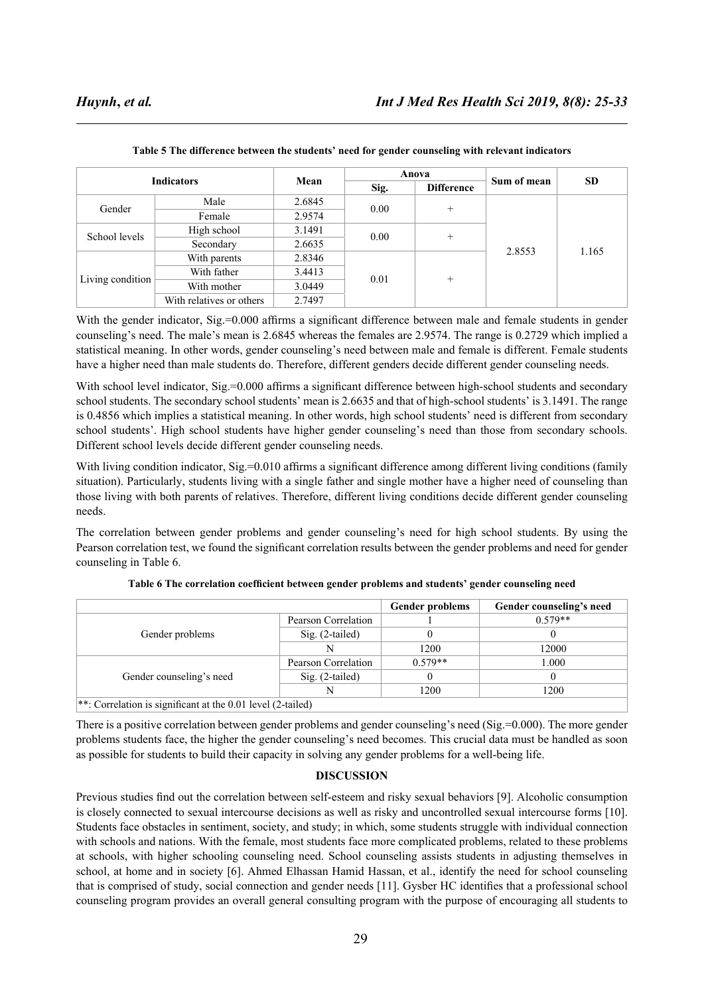| <b>Indicators</b> |                          |        |      | Anova             | Sum of mean | <b>SD</b> |
|-------------------|--------------------------|--------|------|-------------------|-------------|-----------|
|                   |                          | Mean   | Sig. | <b>Difference</b> |             |           |
| Gender            | Male                     | 2.6845 | 0.00 | $^{+}$            | 2.8553      | 1.165     |
|                   | Female                   | 2.9574 |      |                   |             |           |
| School levels     | High school              | 3.1491 | 0.00 | $^{+}$            |             |           |
|                   | Secondary                | 2.6635 |      |                   |             |           |
| Living condition  | With parents             | 2.8346 |      | $+$               |             |           |
|                   | With father              | 3.4413 |      |                   |             |           |
|                   | With mother              | 3.0449 | 0.01 |                   |             |           |
|                   | With relatives or others | 2.7497 |      |                   |             |           |

**Table 5 The difference between the students' need for gender counseling with relevant indicators**

With the gender indicator, Sig.=0.000 affirms a significant difference between male and female students in gender counseling's need. The male's mean is 2.6845 whereas the females are 2.9574. The range is 0.2729 which implied a statistical meaning. In other words, gender counseling's need between male and female is different. Female students have a higher need than male students do. Therefore, different genders decide different gender counseling needs.

With school level indicator, Sig.=0.000 affirms a significant difference between high-school students and secondary school students. The secondary school students' mean is 2.6635 and that of high-school students' is 3.1491. The range is 0.4856 which implies a statistical meaning. In other words, high school students' need is different from secondary school students'. High school students have higher gender counseling's need than those from secondary schools. Different school levels decide different gender counseling needs.

With living condition indicator, Sig.=0.010 affirms a significant difference among different living conditions (family situation). Particularly, students living with a single father and single mother have a higher need of counseling than those living with both parents of relatives. Therefore, different living conditions decide different gender counseling needs.

The correlation between gender problems and gender counseling's need for high school students. By using the Pearson correlation test, we found the significant correlation results between the gender problems and need for gender counseling in Table 6.

|                                                               |                     | <b>Gender problems</b> | Gender counseling's need |
|---------------------------------------------------------------|---------------------|------------------------|--------------------------|
|                                                               | Pearson Correlation |                        | $0.579**$                |
| Gender problems                                               | $Sig. (2-tailed)$   |                        |                          |
|                                                               | N                   | 1200                   | 12000                    |
|                                                               | Pearson Correlation | $0.579**$              | 1.000                    |
| Gender counseling's need                                      | $Sig. (2-tailed)$   |                        |                          |
|                                                               | N                   | 1200                   | 1200                     |
| **: Correlation is significant at the $0.01$ level (2-tailed) |                     |                        |                          |

**Table 6 The correlation coefficient between gender problems and students' gender counseling need**

There is a positive correlation between gender problems and gender counseling's need (Sig.=0.000). The more gender problems students face, the higher the gender counseling's need becomes. This crucial data must be handled as soon as possible for students to build their capacity in solving any gender problems for a well-being life.

### **DISCUSSION**

Previous studies find out the correlation between self-esteem and risky sexual behaviors [9]. Alcoholic consumption is closely connected to sexual intercourse decisions as well as risky and uncontrolled sexual intercourse forms [10]. Students face obstacles in sentiment, society, and study; in which, some students struggle with individual connection with schools and nations. With the female, most students face more complicated problems, related to these problems at schools, with higher schooling counseling need. School counseling assists students in adjusting themselves in school, at home and in society [6]. Ahmed Elhassan Hamid Hassan, et al., identify the need for school counseling that is comprised of study, social connection and gender needs [11]. Gysber HC identifies that a professional school counseling program provides an overall general consulting program with the purpose of encouraging all students to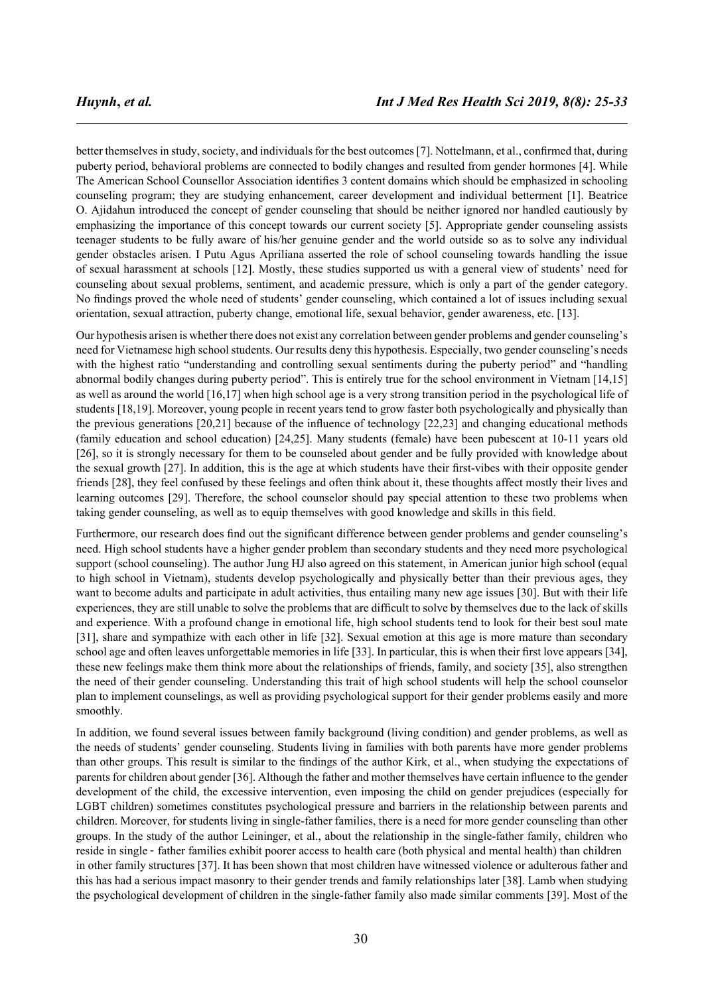better themselves in study, society, and individuals for the best outcomes [7]. Nottelmann, et al., confirmed that, during puberty period, behavioral problems are connected to bodily changes and resulted from gender hormones [4]. While The American School Counsellor Association identifies 3 content domains which should be emphasized in schooling counseling program; they are studying enhancement, career development and individual betterment [1]. Beatrice O. Ajidahun introduced the concept of gender counseling that should be neither ignored nor handled cautiously by emphasizing the importance of this concept towards our current society [5]. Appropriate gender counseling assists teenager students to be fully aware of his/her genuine gender and the world outside so as to solve any individual gender obstacles arisen. I Putu Agus Apriliana asserted the role of school counseling towards handling the issue of sexual harassment at schools [12]. Mostly, these studies supported us with a general view of students' need for counseling about sexual problems, sentiment, and academic pressure, which is only a part of the gender category. No findings proved the whole need of students' gender counseling, which contained a lot of issues including sexual orientation, sexual attraction, puberty change, emotional life, sexual behavior, gender awareness, etc. [13].

Our hypothesis arisen is whether there does not exist any correlation between gender problems and gender counseling's need for Vietnamese high school students. Our results deny this hypothesis. Especially, two gender counseling's needs with the highest ratio "understanding and controlling sexual sentiments during the puberty period" and "handling abnormal bodily changes during puberty period". This is entirely true for the school environment in Vietnam [14,15] as well as around the world [16,17] when high school age is a very strong transition period in the psychological life of students [18,19]. Moreover, young people in recent years tend to grow faster both psychologically and physically than the previous generations [20,21] because of the influence of technology [22,23] and changing educational methods (family education and school education) [24,25]. Many students (female) have been pubescent at 10-11 years old [26], so it is strongly necessary for them to be counseled about gender and be fully provided with knowledge about the sexual growth [27]. In addition, this is the age at which students have their first-vibes with their opposite gender friends [28], they feel confused by these feelings and often think about it, these thoughts affect mostly their lives and learning outcomes [29]. Therefore, the school counselor should pay special attention to these two problems when taking gender counseling, as well as to equip themselves with good knowledge and skills in this field.

Furthermore, our research does find out the significant difference between gender problems and gender counseling's need. High school students have a higher gender problem than secondary students and they need more psychological support (school counseling). The author Jung HJ also agreed on this statement, in American junior high school (equal to high school in Vietnam), students develop psychologically and physically better than their previous ages, they want to become adults and participate in adult activities, thus entailing many new age issues [30]. But with their life experiences, they are still unable to solve the problems that are difficult to solve by themselves due to the lack of skills and experience. With a profound change in emotional life, high school students tend to look for their best soul mate [31], share and sympathize with each other in life [32]. Sexual emotion at this age is more mature than secondary school age and often leaves unforgettable memories in life [33]. In particular, this is when their first love appears [34], these new feelings make them think more about the relationships of friends, family, and society [35], also strengthen the need of their gender counseling. Understanding this trait of high school students will help the school counselor plan to implement counselings, as well as providing psychological support for their gender problems easily and more smoothly.

In addition, we found several issues between family background (living condition) and gender problems, as well as the needs of students' gender counseling. Students living in families with both parents have more gender problems than other groups. This result is similar to the findings of the author Kirk, et al., when studying the expectations of parents for children about gender [36]. Although the father and mother themselves have certain influence to the gender development of the child, the excessive intervention, even imposing the child on gender prejudices (especially for LGBT children) sometimes constitutes psychological pressure and barriers in the relationship between parents and children. Moreover, for students living in single-father families, there is a need for more gender counseling than other groups. In the study of the author Leininger, et al., about the relationship in the single-father family, children who in other family structures [37]. It has been shown that most children have witnessed violence or adulterous father and this has had a serious impact masonry to their gender trends and family relationships later [38]. Lamb when studying the psychological development of children in the single-father family also made similar comments [39]. Most of the reside in single - father families exhibit poorer access to health care (both physical and mental health) than children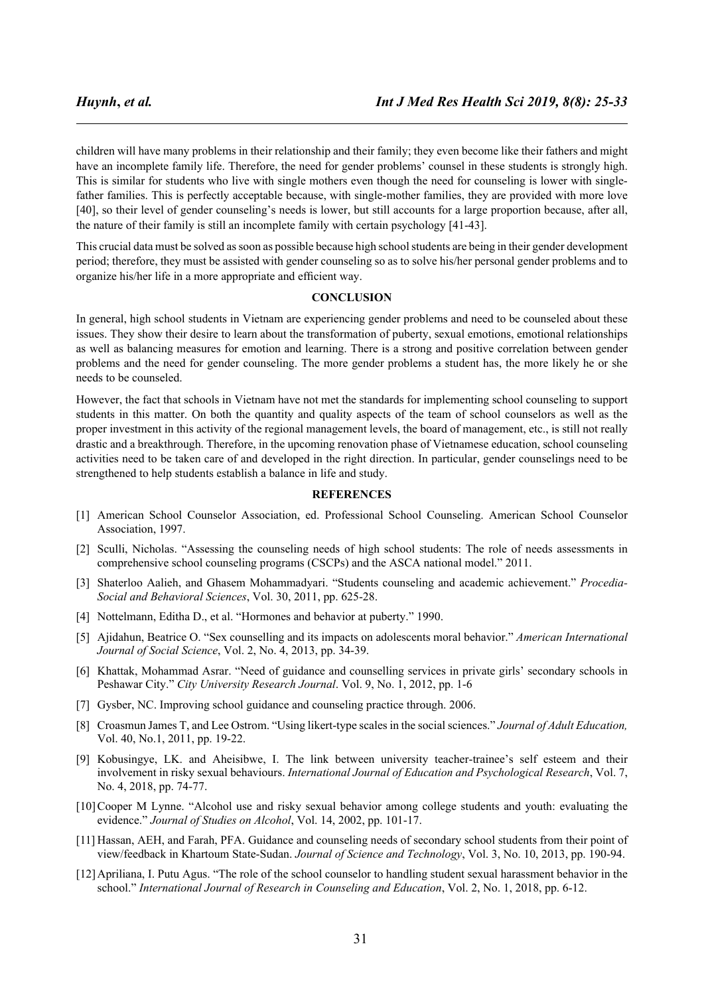children will have many problems in their relationship and their family; they even become like their fathers and might have an incomplete family life. Therefore, the need for gender problems' counsel in these students is strongly high. This is similar for students who live with single mothers even though the need for counseling is lower with singlefather families. This is perfectly acceptable because, with single-mother families, they are provided with more love [40], so their level of gender counseling's needs is lower, but still accounts for a large proportion because, after all, the nature of their family is still an incomplete family with certain psychology [41-43].

This crucial data must be solved as soon as possible because high school students are being in their gender development period; therefore, they must be assisted with gender counseling so as to solve his/her personal gender problems and to organize his/her life in a more appropriate and efficient way.

#### **CONCLUSION**

In general, high school students in Vietnam are experiencing gender problems and need to be counseled about these issues. They show their desire to learn about the transformation of puberty, sexual emotions, emotional relationships as well as balancing measures for emotion and learning. There is a strong and positive correlation between gender problems and the need for gender counseling. The more gender problems a student has, the more likely he or she needs to be counseled.

However, the fact that schools in Vietnam have not met the standards for implementing school counseling to support students in this matter. On both the quantity and quality aspects of the team of school counselors as well as the proper investment in this activity of the regional management levels, the board of management, etc., is still not really drastic and a breakthrough. Therefore, in the upcoming renovation phase of Vietnamese education, school counseling activities need to be taken care of and developed in the right direction. In particular, gender counselings need to be strengthened to help students establish a balance in life and study.

#### **REFERENCES**

- [1] American School Counselor Association, ed. Professional School Counseling. American School Counselor Association, 1997.
- [2] Sculli, Nicholas. "Assessing the counseling needs of high school students: The role of needs assessments in comprehensive school counseling programs (CSCPs) and the ASCA national model." 2011.
- [3] Shaterloo Aalieh, and Ghasem Mohammadyari. "Students counseling and academic achievement." *Procedia-Social and Behavioral Sciences*, Vol. 30, 2011, pp. 625-28.
- [4] Nottelmann, Editha D., et al. "Hormones and behavior at puberty." 1990.
- [5] Ajidahun, Beatrice O. "Sex counselling and its impacts on adolescents moral behavior." *American International Journal of Social Science*, Vol. 2, No. 4, 2013, pp. 34-39.
- [6] Khattak, Mohammad Asrar. "Need of guidance and counselling services in private girls' secondary schools in Peshawar City." *City University Research Journal*. Vol. 9, No. 1, 2012, pp. 1-6
- [7] Gysber, NC. Improving school guidance and counseling practice through. 2006.
- [8] Croasmun James T, and Lee Ostrom. "Using likert-type scales in the social sciences." *Journal of Adult Education,*  Vol. 40, No.1, 2011, pp. 19-22.
- [9] Kobusingye, LK. and Aheisibwe, I. The link between university teacher-trainee's self esteem and their involvement in risky sexual behaviours. *International Journal of Education and Psychological Research*, Vol. 7, No. 4, 2018, pp. 74-77.
- [10]Cooper M Lynne. "Alcohol use and risky sexual behavior among college students and youth: evaluating the evidence." *Journal of Studies on Alcohol*, Vol. 14, 2002, pp. 101-17.
- [11] Hassan, AEH, and Farah, PFA. Guidance and counseling needs of secondary school students from their point of view/feedback in Khartoum State-Sudan. *Journal of Science and Technology*, Vol. 3, No. 10, 2013, pp. 190-94.
- [12]Apriliana, I. Putu Agus. "The role of the school counselor to handling student sexual harassment behavior in the school." *International Journal of Research in Counseling and Education*, Vol. 2, No. 1, 2018, pp. 6-12.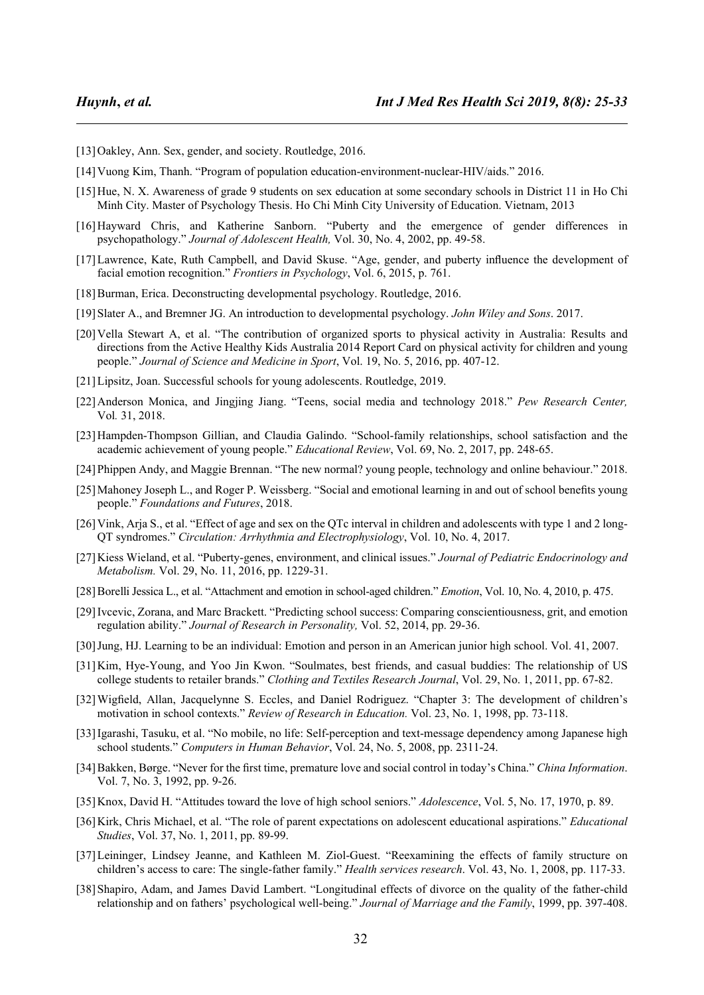- [13] Oakley, Ann. Sex, gender, and society. Routledge, 2016.
- [14]Vuong Kim, Thanh. "Program of population education-environment-nuclear-HIV/aids." 2016.
- [15]Hue, N. X. Awareness of grade 9 students on sex education at some secondary schools in District 11 in Ho Chi Minh City. Master of Psychology Thesis. Ho Chi Minh City University of Education. Vietnam, 2013
- [16]Hayward Chris, and Katherine Sanborn. "Puberty and the emergence of gender differences in psychopathology." *Journal of Adolescent Health,* Vol. 30, No. 4, 2002, pp. 49-58.
- [17]Lawrence, Kate, Ruth Campbell, and David Skuse. "Age, gender, and puberty influence the development of facial emotion recognition." *Frontiers in Psychology*, Vol. 6, 2015, p. 761.
- [18] Burman, Erica. Deconstructing developmental psychology. Routledge, 2016.
- [19]Slater A., and Bremner JG. An introduction to developmental psychology. *John Wiley and Sons*. 2017.
- [20] Vella Stewart A, et al. "The contribution of organized sports to physical activity in Australia: Results and directions from the Active Healthy Kids Australia 2014 Report Card on physical activity for children and young people." *Journal of Science and Medicine in Sport*, Vol. 19, No. 5, 2016, pp. 407-12.
- [21] Lipsitz, Joan. Successful schools for young adolescents. Routledge, 2019.
- [22]Anderson Monica, and Jingjing Jiang. "Teens, social media and technology 2018." *Pew Research Center,*  Vol*.* 31, 2018.
- [23]Hampden-Thompson Gillian, and Claudia Galindo. "School-family relationships, school satisfaction and the academic achievement of young people." *Educational Review*, Vol. 69, No. 2, 2017, pp. 248-65.
- [24]Phippen Andy, and Maggie Brennan. "The new normal? young people, technology and online behaviour." 2018.
- [25]Mahoney Joseph L., and Roger P. Weissberg. "Social and emotional learning in and out of school benefits young people." *Foundations and Futures*, 2018.
- [26]Vink, Arja S., et al. "Effect of age and sex on the QTc interval in children and adolescents with type 1 and 2 long-QT syndromes." *Circulation: Arrhythmia and Electrophysiology*, Vol. 10, No. 4, 2017.
- [27]Kiess Wieland, et al. "Puberty-genes, environment, and clinical issues." *Journal of Pediatric Endocrinology and Metabolism.* Vol. 29, No. 11, 2016, pp. 1229-31.
- [28]Borelli Jessica L., et al. "Attachment and emotion in school-aged children." *Emotion*, Vol. 10, No. 4, 2010, p. 475.
- [29]Ivcevic, Zorana, and Marc Brackett. "Predicting school success: Comparing conscientiousness, grit, and emotion regulation ability." *Journal of Research in Personality,* Vol. 52, 2014, pp. 29-36.
- [30]Jung, HJ. Learning to be an individual: Emotion and person in an American junior high school. Vol. 41, 2007.
- [31]Kim, Hye-Young, and Yoo Jin Kwon. "Soulmates, best friends, and casual buddies: The relationship of US college students to retailer brands." *Clothing and Textiles Research Journal*, Vol. 29, No. 1, 2011, pp. 67-82.
- [32]Wigfield, Allan, Jacquelynne S. Eccles, and Daniel Rodriguez. "Chapter 3: The development of children's motivation in school contexts." *Review of Research in Education.* Vol. 23, No. 1, 1998, pp. 73-118.
- [33]Igarashi, Tasuku, et al. "No mobile, no life: Self-perception and text-message dependency among Japanese high school students." *Computers in Human Behavior*, Vol. 24, No. 5, 2008, pp. 2311-24.
- [34]Bakken, Børge. "Never for the first time, premature love and social control in today's China." *China Information*. Vol. 7, No. 3, 1992, pp. 9-26.
- [35]Knox, David H. "Attitudes toward the love of high school seniors." *Adolescence*, Vol. 5, No. 17, 1970, p. 89.
- [36]Kirk, Chris Michael, et al. "The role of parent expectations on adolescent educational aspirations." *Educational Studies*, Vol. 37, No. 1, 2011, pp. 89-99.
- [37]Leininger, Lindsey Jeanne, and Kathleen M. Ziol-Guest. "Reexamining the effects of family structure on children's access to care: The single-father family." *Health services research*. Vol. 43, No. 1, 2008, pp. 117-33.
- [38]Shapiro, Adam, and James David Lambert. "Longitudinal effects of divorce on the quality of the father-child relationship and on fathers' psychological well-being." *Journal of Marriage and the Family*, 1999, pp. 397-408.